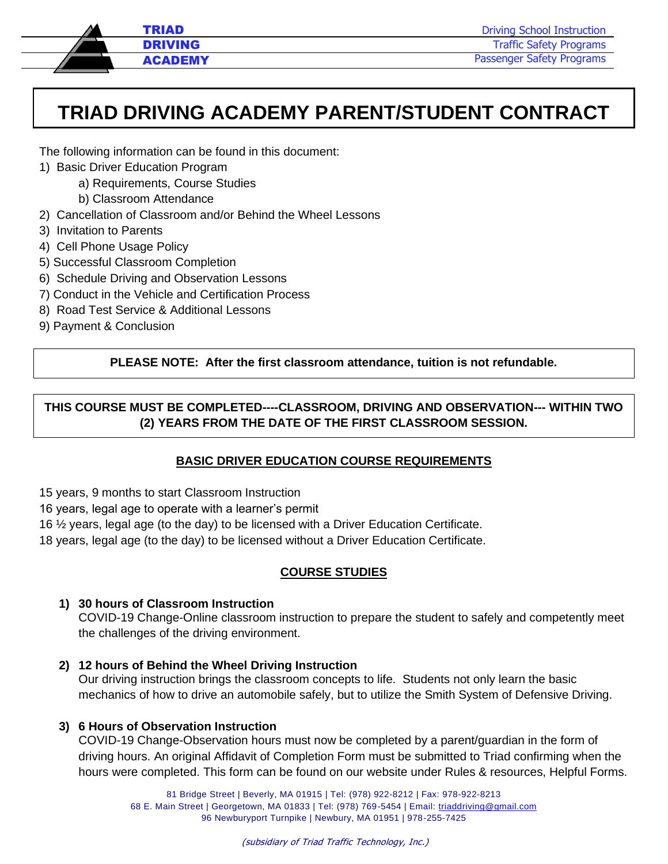

Driving School Instruction Traffic Safety Programs Passenger Safety Programs

# **TRIAD DRIVING ACADEMY PARENT/STUDENT CONTRACT**

The following information can be found in this document:

- 1) Basic Driver Education Program
	- a) Requirements, Course Studies
	- b) Classroom Attendance
- 2) Cancellation of Classroom and/or Behind the Wheel Lessons
- 3) Invitation to Parents
- 4) Cell Phone Usage Policy
- 5) Successful Classroom Completion
- 6) Schedule Driving and Observation Lessons
- 7) Conduct in the Vehicle and Certification Process
- 8) Road Test Service & Additional Lessons
- 9) Payment & Conclusion

### **PLEASE NOTE: After the first classroom attendance, tuition is not refundable.**

# **THIS COURSE MUST BE COMPLETED----CLASSROOM, DRIVING AND OBSERVATION--- WITHIN TWO (2) YEARS FROM THE DATE OF THE FIRST CLASSROOM SESSION.**

#### **BASIC DRIVER EDUCATION COURSE REQUIREMENTS**

- 15 years, 9 months to start Classroom Instruction
- 16 years, legal age to operate with a learner's permit
- 16 ½ years, legal age (to the day) to be licensed with a Driver Education Certificate.
- 18 years, legal age (to the day) to be licensed without a Driver Education Certificate.

#### **COURSE STUDIES**

#### **1) 30 hours of Classroom Instruction**

COVID-19 Change-Online classroom instruction to prepare the student to safely and competently meet the challenges of the driving environment.

#### **2) 12 hours of Behind the Wheel Driving Instruction**

Our driving instruction brings the classroom concepts to life. Students not only learn the basic mechanics of how to drive an automobile safely, but to utilize the Smith System of Defensive Driving.

#### **3) 6 Hours of Observation Instruction**

COVID-19 Change-Observation hours must now be completed by a parent/guardian in the form of driving hours. An original Affidavit of Completion Form must be submitted to Triad confirming when the hours were completed. This form can be found on our website under Rules & resources, Helpful Forms.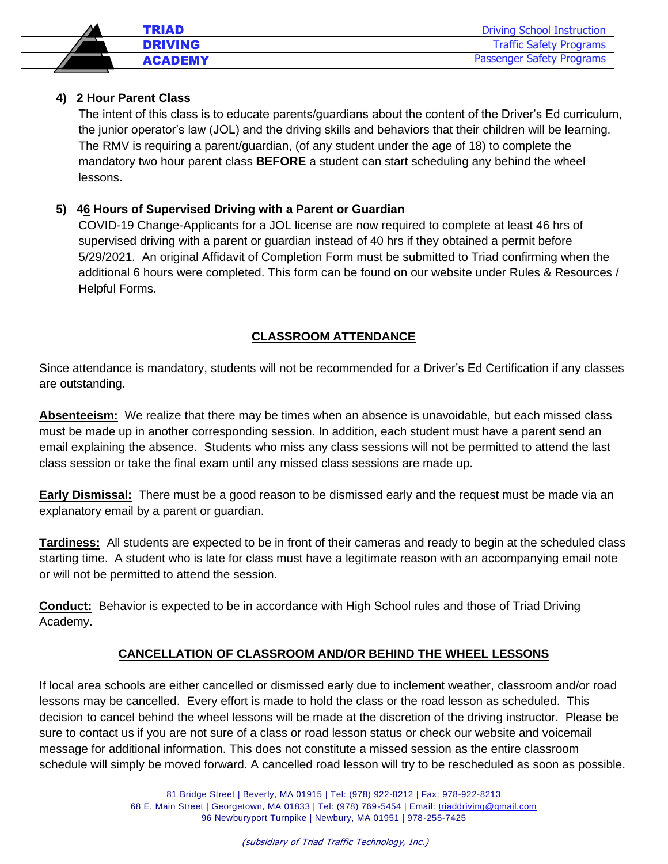

#### **4) 2 Hour Parent Class**

The intent of this class is to educate parents/guardians about the content of the Driver's Ed curriculum, the junior operator's law (JOL) and the driving skills and behaviors that their children will be learning. The RMV is requiring a parent/guardian, (of any student under the age of 18) to complete the mandatory two hour parent class **BEFORE** a student can start scheduling any behind the wheel lessons.

#### **5) 46 Hours of Supervised Driving with a Parent or Guardian**

COVID-19 Change-Applicants for a JOL license are now required to complete at least 46 hrs of supervised driving with a parent or guardian instead of 40 hrs if they obtained a permit before 5/29/2021. An original Affidavit of Completion Form must be submitted to Triad confirming when the additional 6 hours were completed. This form can be found on our website under Rules & Resources / Helpful Forms.

#### **CLASSROOM ATTENDANCE**

Since attendance is mandatory, students will not be recommended for a Driver's Ed Certification if any classes are outstanding.

**Absenteeism:** We realize that there may be times when an absence is unavoidable, but each missed class must be made up in another corresponding session. In addition, each student must have a parent send an email explaining the absence. Students who miss any class sessions will not be permitted to attend the last class session or take the final exam until any missed class sessions are made up.

**Early Dismissal:** There must be a good reason to be dismissed early and the request must be made via an explanatory email by a parent or guardian.

**Tardiness:** All students are expected to be in front of their cameras and ready to begin at the scheduled class starting time. A student who is late for class must have a legitimate reason with an accompanying email note or will not be permitted to attend the session.

**Conduct:** Behavior is expected to be in accordance with High School rules and those of Triad Driving Academy.

#### **CANCELLATION OF CLASSROOM AND/OR BEHIND THE WHEEL LESSONS**

If local area schools are either cancelled or dismissed early due to inclement weather, classroom and/or road lessons may be cancelled. Every effort is made to hold the class or the road lesson as scheduled. This decision to cancel behind the wheel lessons will be made at the discretion of the driving instructor. Please be sure to contact us if you are not sure of a class or road lesson status or check our website and voicemail message for additional information. This does not constitute a missed session as the entire classroom schedule will simply be moved forward. A cancelled road lesson will try to be rescheduled as soon as possible.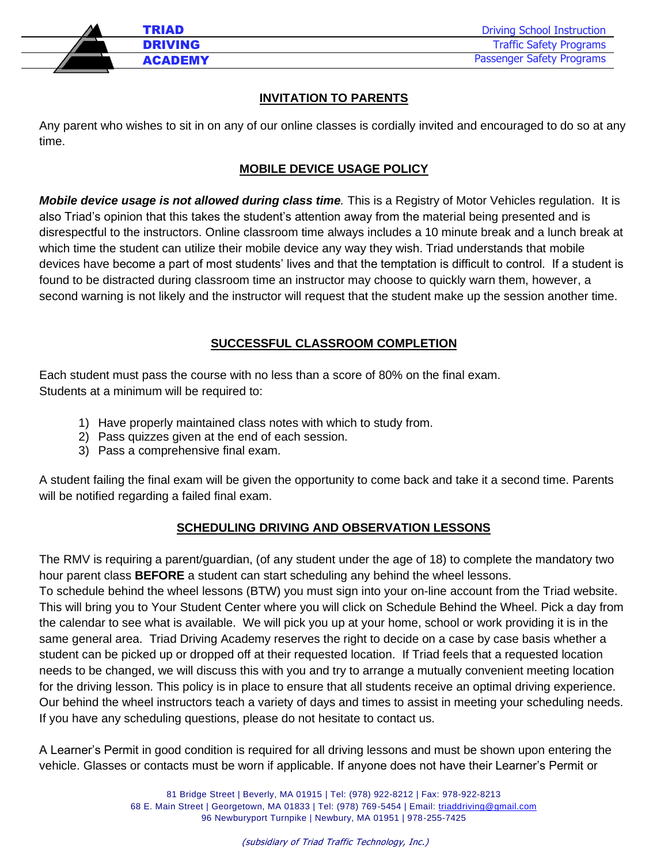

#### **INVITATION TO PARENTS**

Any parent who wishes to sit in on any of our online classes is cordially invited and encouraged to do so at any time.

#### **MOBILE DEVICE USAGE POLICY**

*Mobile device usage is not allowed during class time.* This is a Registry of Motor Vehicles regulation. It is also Triad's opinion that this takes the student's attention away from the material being presented and is disrespectful to the instructors. Online classroom time always includes a 10 minute break and a lunch break at which time the student can utilize their mobile device any way they wish. Triad understands that mobile devices have become a part of most students' lives and that the temptation is difficult to control. If a student is found to be distracted during classroom time an instructor may choose to quickly warn them, however, a second warning is not likely and the instructor will request that the student make up the session another time.

#### **SUCCESSFUL CLASSROOM COMPLETION**

Each student must pass the course with no less than a score of 80% on the final exam. Students at a minimum will be required to:

- 1) Have properly maintained class notes with which to study from.
- 2) Pass quizzes given at the end of each session.
- 3) Pass a comprehensive final exam.

A student failing the final exam will be given the opportunity to come back and take it a second time. Parents will be notified regarding a failed final exam.

#### **SCHEDULING DRIVING AND OBSERVATION LESSONS**

The RMV is requiring a parent/guardian, (of any student under the age of 18) to complete the mandatory two hour parent class **BEFORE** a student can start scheduling any behind the wheel lessons.

To schedule behind the wheel lessons (BTW) you must sign into your on-line account from the Triad website. This will bring you to Your Student Center where you will click on Schedule Behind the Wheel. Pick a day from the calendar to see what is available. We will pick you up at your home, school or work providing it is in the same general area. Triad Driving Academy reserves the right to decide on a case by case basis whether a student can be picked up or dropped off at their requested location. If Triad feels that a requested location needs to be changed, we will discuss this with you and try to arrange a mutually convenient meeting location for the driving lesson. This policy is in place to ensure that all students receive an optimal driving experience. Our behind the wheel instructors teach a variety of days and times to assist in meeting your scheduling needs. If you have any scheduling questions, please do not hesitate to contact us.

A Learner's Permit in good condition is required for all driving lessons and must be shown upon entering the vehicle. Glasses or contacts must be worn if applicable. If anyone does not have their Learner's Permit or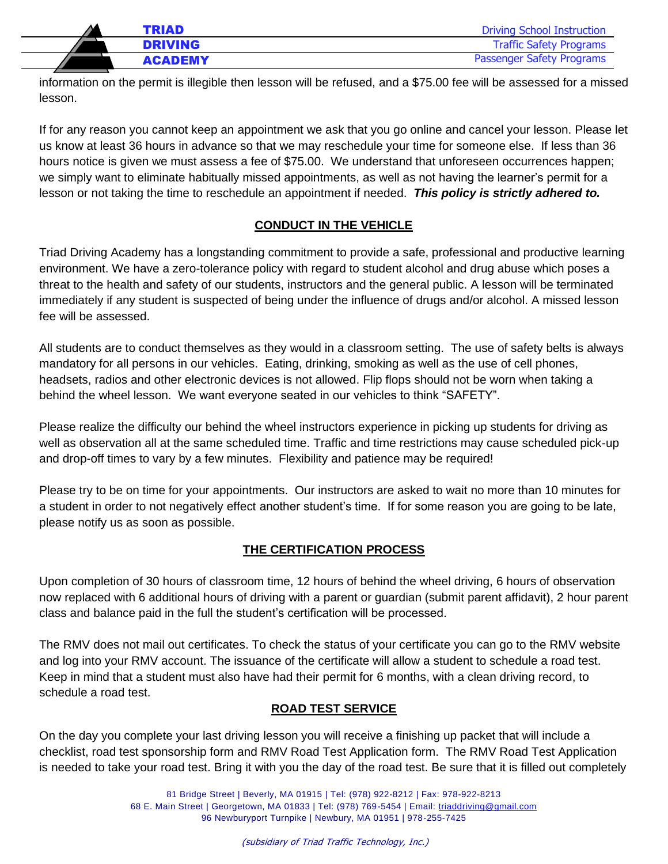| <b>TRIAD</b>   | <b>Driving School Instruction</b> |
|----------------|-----------------------------------|
| <b>DRIVING</b> | <b>Traffic Safety Programs</b>    |
| <b>ACADEMY</b> | Passenger Safety Programs         |
|                |                                   |

information on the permit is illegible then lesson will be refused, and a \$75.00 fee will be assessed for a missed lesson.

If for any reason you cannot keep an appointment we ask that you go online and cancel your lesson. Please let us know at least 36 hours in advance so that we may reschedule your time for someone else. If less than 36 hours notice is given we must assess a fee of \$75.00. We understand that unforeseen occurrences happen; we simply want to eliminate habitually missed appointments, as well as not having the learner's permit for a lesson or not taking the time to reschedule an appointment if needed. *This policy is strictly adhered to.*

### **CONDUCT IN THE VEHICLE**

Triad Driving Academy has a longstanding commitment to provide a safe, professional and productive learning environment. We have a zero-tolerance policy with regard to student alcohol and drug abuse which poses a threat to the health and safety of our students, instructors and the general public. A lesson will be terminated immediately if any student is suspected of being under the influence of drugs and/or alcohol. A missed lesson fee will be assessed.

All students are to conduct themselves as they would in a classroom setting. The use of safety belts is always mandatory for all persons in our vehicles. Eating, drinking, smoking as well as the use of cell phones, headsets, radios and other electronic devices is not allowed. Flip flops should not be worn when taking a behind the wheel lesson. We want everyone seated in our vehicles to think "SAFETY".

Please realize the difficulty our behind the wheel instructors experience in picking up students for driving as well as observation all at the same scheduled time. Traffic and time restrictions may cause scheduled pick-up and drop-off times to vary by a few minutes. Flexibility and patience may be required!

Please try to be on time for your appointments. Our instructors are asked to wait no more than 10 minutes for a student in order to not negatively effect another student's time. If for some reason you are going to be late, please notify us as soon as possible.

# **THE CERTIFICATION PROCESS**

Upon completion of 30 hours of classroom time, 12 hours of behind the wheel driving, 6 hours of observation now replaced with 6 additional hours of driving with a parent or guardian (submit parent affidavit), 2 hour parent class and balance paid in the full the student's certification will be processed.

The RMV does not mail out certificates. To check the status of your certificate you can go to the RMV website and log into your RMV account. The issuance of the certificate will allow a student to schedule a road test. Keep in mind that a student must also have had their permit for 6 months, with a clean driving record, to schedule a road test.

#### **ROAD TEST SERVICE**

On the day you complete your last driving lesson you will receive a finishing up packet that will include a checklist, road test sponsorship form and RMV Road Test Application form. The RMV Road Test Application is needed to take your road test. Bring it with you the day of the road test. Be sure that it is filled out completely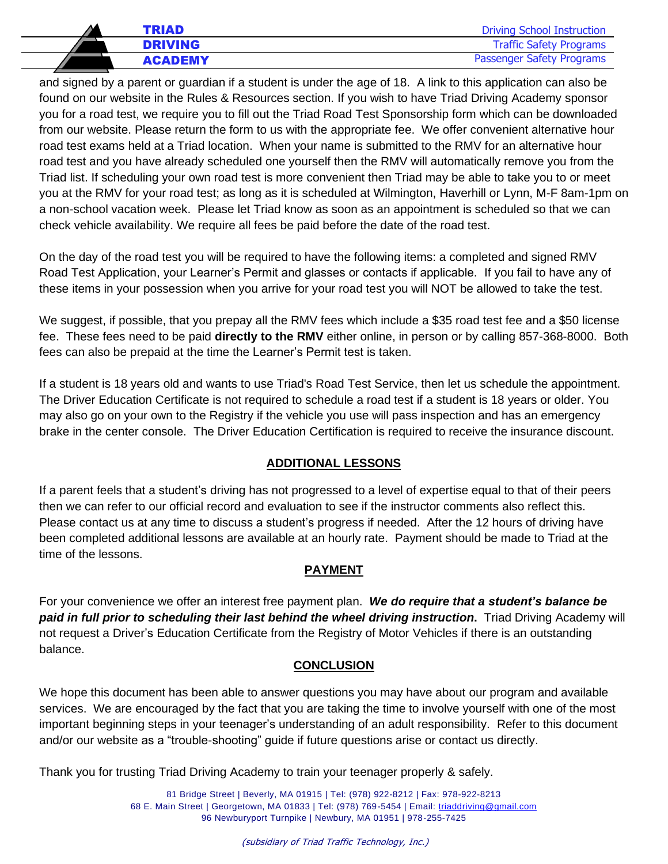|    | TRIAD          | <b>Driving School Instruction</b> |
|----|----------------|-----------------------------------|
|    | <b>DRIVING</b> | <b>Traffic Safety Programs</b>    |
| 77 | <b>ACADEMY</b> | Passenger Safety Programs         |

j and signed by a parent or guardian if a student is under the age of 18. A link to this application can also be found on our website in the Rules & Resources section. If you wish to have Triad Driving Academy sponsor you for a road test, we require you to fill out the Triad Road Test Sponsorship form which can be downloaded from our website. Please return the form to us with the appropriate fee. We offer convenient alternative hour road test exams held at a Triad location. When your name is submitted to the RMV for an alternative hour road test and you have already scheduled one yourself then the RMV will automatically remove you from the Triad list. If scheduling your own road test is more convenient then Triad may be able to take you to or meet you at the RMV for your road test; as long as it is scheduled at Wilmington, Haverhill or Lynn, M-F 8am-1pm on a non-school vacation week. Please let Triad know as soon as an appointment is scheduled so that we can check vehicle availability. We require all fees be paid before the date of the road test.

On the day of the road test you will be required to have the following items: a completed and signed RMV Road Test Application, your Learner's Permit and glasses or contacts if applicable. If you fail to have any of these items in your possession when you arrive for your road test you will NOT be allowed to take the test.

We suggest, if possible, that you prepay all the RMV fees which include a \$35 road test fee and a \$50 license fee. These fees need to be paid **directly to the RMV** either online, in person or by calling 857-368-8000. Both fees can also be prepaid at the time the Learner's Permit test is taken.

If a student is 18 years old and wants to use Triad's Road Test Service, then let us schedule the appointment. The Driver Education Certificate is not required to schedule a road test if a student is 18 years or older. You may also go on your own to the Registry if the vehicle you use will pass inspection and has an emergency brake in the center console. The Driver Education Certification is required to receive the insurance discount.

# **ADDITIONAL LESSONS**

If a parent feels that a student's driving has not progressed to a level of expertise equal to that of their peers then we can refer to our official record and evaluation to see if the instructor comments also reflect this. Please contact us at any time to discuss a student's progress if needed. After the 12 hours of driving have been completed additional lessons are available at an hourly rate. Payment should be made to Triad at the time of the lessons.

#### **PAYMENT**

For your convenience we offer an interest free payment plan. *We do require that a student's balance be paid in full prior to scheduling their last behind the wheel driving instruction***.** Triad Driving Academy will not request a Driver's Education Certificate from the Registry of Motor Vehicles if there is an outstanding balance.

#### **CONCLUSION**

We hope this document has been able to answer questions you may have about our program and available services. We are encouraged by the fact that you are taking the time to involve yourself with one of the most important beginning steps in your teenager's understanding of an adult responsibility. Refer to this document and/or our website as a "trouble-shooting" guide if future questions arise or contact us directly.

Thank you for trusting Triad Driving Academy to train your teenager properly & safely.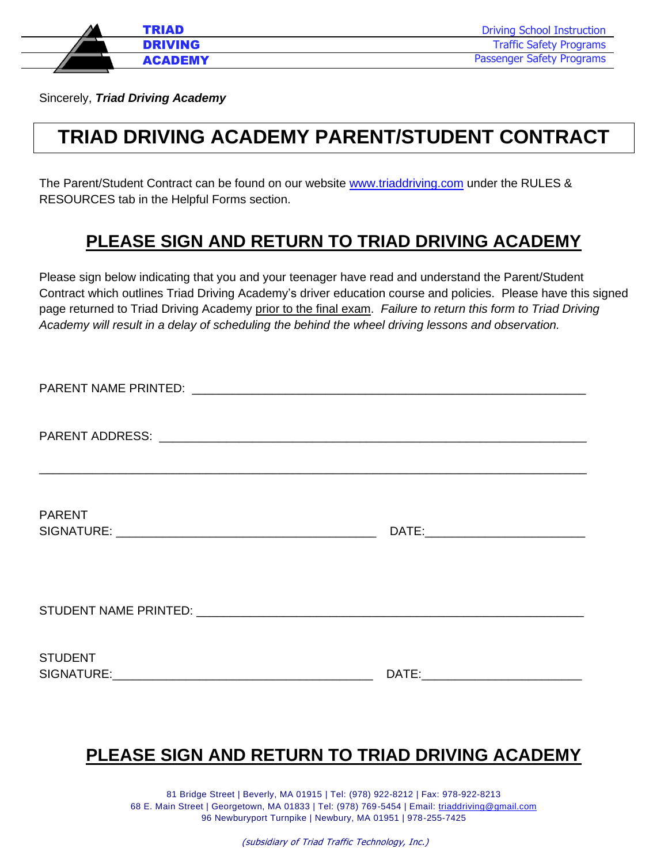

Sincerely, *Triad Driving Academy*

# **TRIAD DRIVING ACADEMY PARENT/STUDENT CONTRACT**

The Parent/Student Contract can be found on our website [www.triaddriving.com](http://www.triaddriving.com/) under the RULES & RESOURCES tab in the Helpful Forms section.

# **PLEASE SIGN AND RETURN TO TRIAD DRIVING ACADEMY**

Please sign below indicating that you and your teenager have read and understand the Parent/Student Contract which outlines Triad Driving Academy's driver education course and policies. Please have this signed page returned to Triad Driving Academy prior to the final exam. *Failure to return this form to Triad Driving Academy will result in a delay of scheduling the behind the wheel driving lessons and observation.*

| <b>PARENT</b>  |  |
|----------------|--|
|                |  |
| <b>STUDENT</b> |  |

# **PLEASE SIGN AND RETURN TO TRIAD DRIVING ACADEMY**